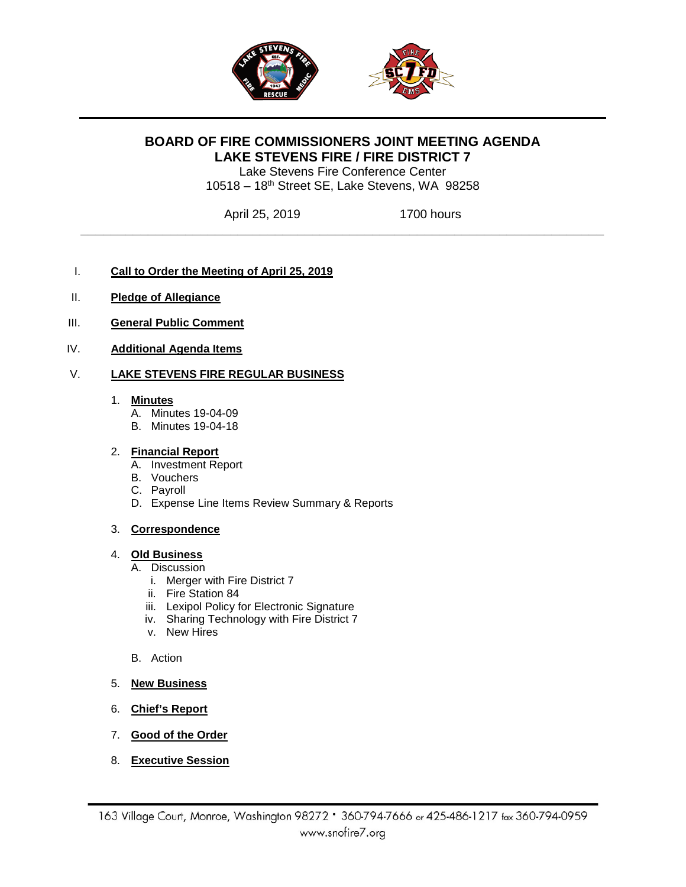

# **BOARD OF FIRE COMMISSIONERS JOINT MEETING AGENDA LAKE STEVENS FIRE / FIRE DISTRICT 7**

Lake Stevens Fire Conference Center 10518 – 18th Street SE, Lake Stevens, WA 98258

**\_\_\_\_\_\_\_\_\_\_\_\_\_\_\_\_\_\_\_\_\_\_\_\_\_\_\_\_\_\_\_\_\_\_\_\_\_\_\_\_\_\_\_\_\_\_\_\_\_\_\_\_\_\_\_\_\_\_\_\_\_\_\_\_\_\_\_\_\_\_**

April 25, 2019 1700 hours

- I. **Call to Order the Meeting of April 25, 2019**
- II. **Pledge of Allegiance**
- III. **General Public Comment**
- IV. **Additional Agenda Items**

### V. **LAKE STEVENS FIRE REGULAR BUSINESS**

#### 1. **Minutes**

- A. Minutes 19-04-09
- B. Minutes 19-04-18

### 2. **Financial Report**

- A. Investment Report
- B. Vouchers
- C. Payroll
- D. Expense Line Items Review Summary & Reports

### 3. **Correspondence**

### 4. **Old Business**

- A. Discussion
	- i. Merger with Fire District 7
	- ii. Fire Station 84
	- iii. Lexipol Policy for Electronic Signature
	- iv. Sharing Technology with Fire District 7
	- v. New Hires
- B. Action
- 5. **New Business**
- 6. **Chief's Report**
- 7. **Good of the Order**
- 8. **Executive Session**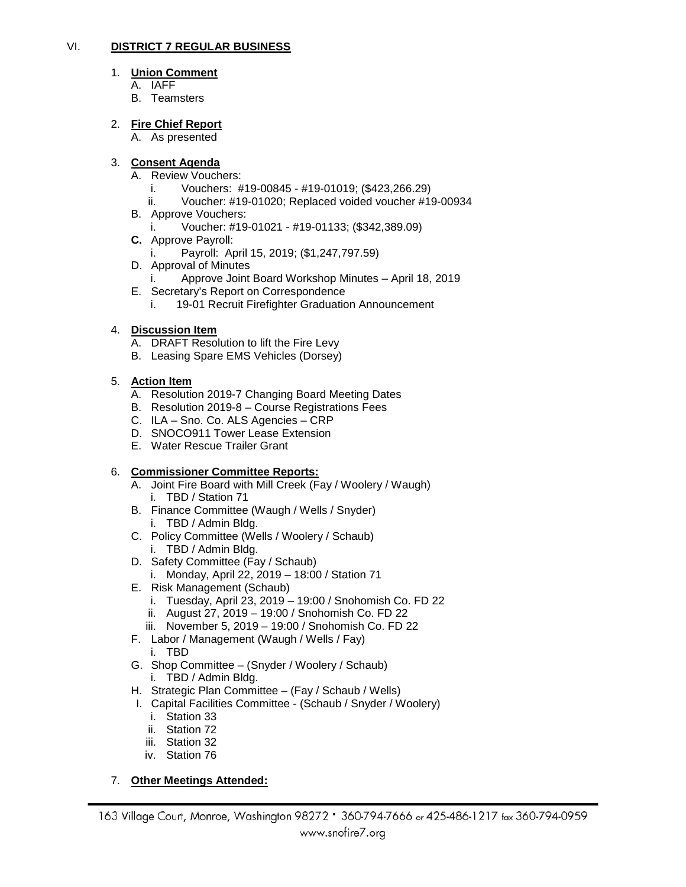### VI. **DISTRICT 7 REGULAR BUSINESS**

#### 1. **Union Comment**

- A. IAFF
- B. Teamsters

#### 2. **Fire Chief Report**

A. As presented

#### 3. **Consent Agenda**

- A. Review Vouchers:
	- i. Vouchers: #19-00845 #19-01019; (\$423,266.29)
	- ii. Voucher: #19-01020; Replaced voided voucher #19-00934
- B. Approve Vouchers:
	- i. Voucher: #19-01021 #19-01133; (\$342,389.09)
- **C.** Approve Payroll:
	- Payroll: April 15, 2019; (\$1,247,797.59)
- D. Approval of Minutes
	- i. Approve Joint Board Workshop Minutes April 18, 2019
- E. Secretary's Report on Correspondence
	- i. 19-01 Recruit Firefighter Graduation Announcement

### 4. **Discussion Item**

- A. DRAFT Resolution to lift the Fire Levy
- B. Leasing Spare EMS Vehicles (Dorsey)

#### 5. **Action Item**

- A. Resolution 2019-7 Changing Board Meeting Dates
- B. Resolution 2019-8 Course Registrations Fees
- C. ILA Sno. Co. ALS Agencies CRP
- D. SNOCO911 Tower Lease Extension
- E. Water Rescue Trailer Grant

### 6. **Commissioner Committee Reports:**

- A. Joint Fire Board with Mill Creek (Fay / Woolery / Waugh) i. TBD / Station 71
- B. Finance Committee (Waugh / Wells / Snyder) i. TBD / Admin Bldg.
- C. Policy Committee (Wells / Woolery / Schaub) i. TBD / Admin Bldg.
- D. Safety Committee (Fay / Schaub)
	- i. Monday, April 22, 2019 18:00 / Station 71
- E. Risk Management (Schaub)
	- i. Tuesday, April 23, 2019 19:00 / Snohomish Co. FD 22
	- ii. August 27, 2019 19:00 / Snohomish Co. FD 22
	- iii. November 5, 2019 19:00 / Snohomish Co. FD 22
- F. Labor / Management (Waugh / Wells / Fay) i. TBD
- G. Shop Committee (Snyder / Woolery / Schaub) i. TBD / Admin Bldg.
- H. Strategic Plan Committee (Fay / Schaub / Wells)
- I. Capital Facilities Committee (Schaub / Snyder / Woolery)
	- i. Station 33
	- ii. Station 72
	- iii. Station 32
	- iv. Station 76

7. **Other Meetings Attended:**